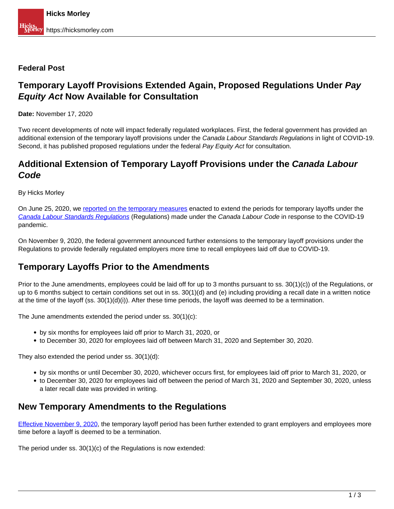#### **Federal Post**

# **Temporary Layoff Provisions Extended Again, Proposed Regulations Under Pay Equity Act Now Available for Consultation**

**Date:** November 17, 2020

Two recent developments of note will impact federally regulated workplaces. First, the federal government has provided an additional extension of the temporary layoff provisions under the Canada Labour Standards Regulations in light of COVID-19. Second, it has published proposed regulations under the federal Pay Equity Act for consultation.

## **Additional Extension of Temporary Layoff Provisions under the Canada Labour Code**

By Hicks Morley

On June 25, 2020, we [reported on the temporary measures](https://hicksmorley.com/2020/06/25/federal-updates-extension-for-temporary-layoffs-workplace-harassment-and-violence-regime-in-force-on-january-1-2021/) enacted to extend the periods for temporary layoffs under the Canada Labour Standards Regulations (Regulations) made under the Canada Labour Code in response to the COVID-19 pandemic.

On November 9, 2020, the federal government announced further extensions to the temporary layoff provisions under the Regulations to provide federally regulated employers more time to recall employees laid off due to COVID-19.

### **Temporary Layoffs Prior to the Amendments**

Prior to the June amendments, employees could be laid off for up to 3 months pursuant to ss. 30(1)(c)) of the Regulations, or up to 6 months subject to certain conditions set out in ss. 30(1)(d) and (e) including providing a recall date in a written notice at the time of the layoff (ss.  $30(1)(d)(i)$ ). After these time periods, the layoff was deemed to be a termination.

The June amendments extended the period under ss. 30(1)(c):

- by six months for employees laid off prior to March 31, 2020, or
- to December 30, 2020 for employees laid off between March 31, 2020 and September 30, 2020.

They also extended the period under ss. 30(1)(d):

- by six months or until December 30, 2020, whichever occurs first, for employees laid off prior to March 31, 2020, or
- to December 30, 2020 for employees laid off between the period of March 31, 2020 and September 30, 2020, unless a later recall date was provided in writing.

#### **New Temporary Amendments to the Regulations**

Effective November 9, 2020, the temporary layoff period has been further extended to grant employers and employees more time before a layoff is deemed to be a termination.

The period under ss. 30(1)(c) of the Regulations is now extended: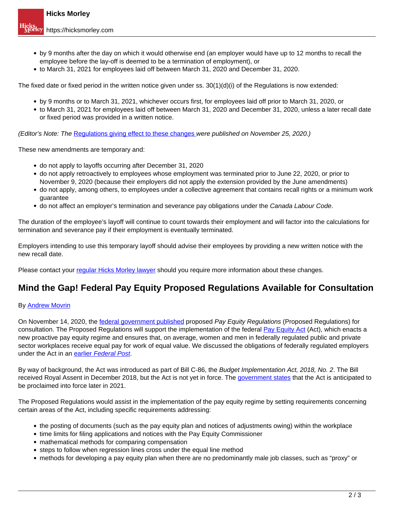- by 9 months after the day on which it would otherwise end (an employer would have up to 12 months to recall the employee before the lay-off is deemed to be a termination of employment), or
- to March 31, 2021 for employees laid off between March 31, 2020 and December 31, 2020.

The fixed date or fixed period in the written notice given under ss.  $30(1)(d)(i)$  of the Regulations is now extended:

- by 9 months or to March 31, 2021, whichever occurs first, for employees laid off prior to March 31, 2020, or
- to March 31, 2021 for employees laid off between March 31, 2020 and December 31, 2020, unless a later recall date or fixed period was provided in a written notice.

(Editor's Note: The Regulations giving effect to these changes were published on November 25, 2020.)

These new amendments are temporary and:

- do not apply to layoffs occurring after December 31, 2020
- do not apply retroactively to employees whose employment was terminated prior to June 22, 2020, or prior to November 9, 2020 (because their employers did not apply the extension provided by the June amendments)
- do not apply, among others, to employees under a collective agreement that contains recall rights or a minimum work guarantee
- do not affect an employer's termination and severance pay obligations under the Canada Labour Code.

The duration of the employee's layoff will continue to count towards their employment and will factor into the calculations for termination and severance pay if their employment is eventually terminated.

Employers intending to use this temporary layoff should advise their employees by providing a new written notice with the new recall date.

Please contact your regular Hicks Morley lawyer should you require more information about these changes.

### **Mind the Gap! Federal Pay Equity Proposed Regulations Available for Consultation**

#### By Andrew Movrin

On November 14, 2020, the federal government published proposed Pay Equity Regulations (Proposed Regulations) for consultation. The Proposed Regulations will support the implementation of the federal Pay Equity Act (Act), which enacts a new proactive pay equity regime and ensures that, on average, women and men in federally regulated public and private sector workplaces receive equal pay for work of equal value. We discussed the obligations of federally regulated employers under the Act in an earlier Federal Post.

By way of background, the Act was introduced as part of Bill C-86, the Budget Implementation Act, 2018, No. 2. The Bill received Royal Assent in December 2018, but the Act is not yet in force. The government states that the Act is anticipated to be proclaimed into force later in 2021.

The Proposed Regulations would assist in the implementation of the pay equity regime by setting requirements concerning certain areas of the Act, including specific requirements addressing:

- the posting of documents (such as the pay equity plan and notices of adjustments owing) within the workplace
- time limits for filing applications and notices with the Pay Equity Commissioner
- mathematical methods for comparing compensation
- steps to follow when regression lines cross under the equal line method
- methods for developing a pay equity plan when there are no predominantly male job classes, such as "proxy" or